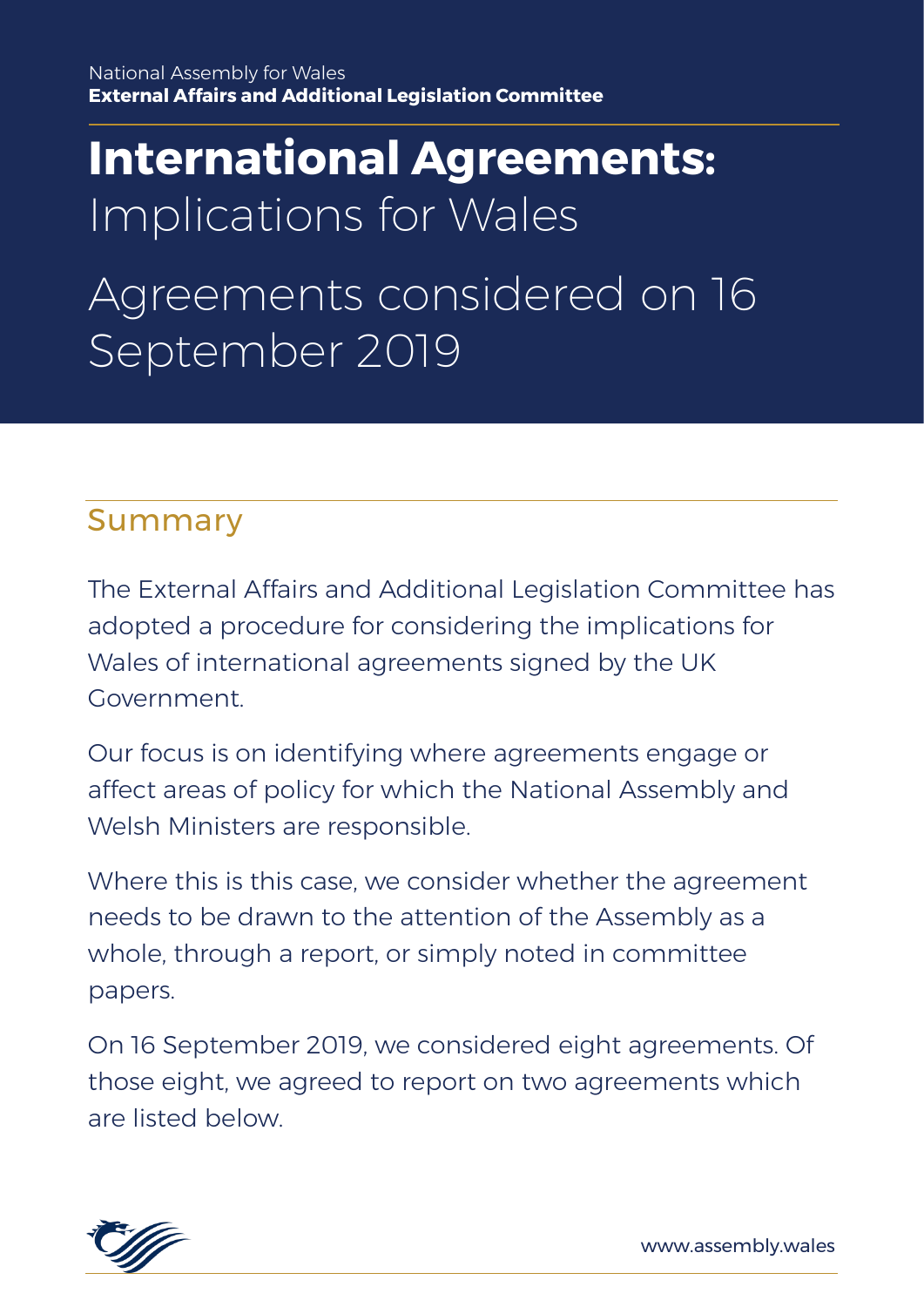## **International Agreements:** Implications for Wales

# Agreements considered on 16 September 2019

### Summary

The External Affairs and Additional Legislation Committee has adopted a procedure for considering the implications for Wales of international agreements signed by the UK Government.

Our focus is on identifying where agreements engage or affect areas of policy for which the National Assembly and Welsh Ministers are responsible.

Where this is this case, we consider whether the agreement needs to be drawn to the attention of the Assembly as a whole, through a report, or simply noted in committee papers.

On 16 September 2019, we considered eight agreements. Of those eight, we agreed to report on two agreements which are listed below.



www.assembly.wales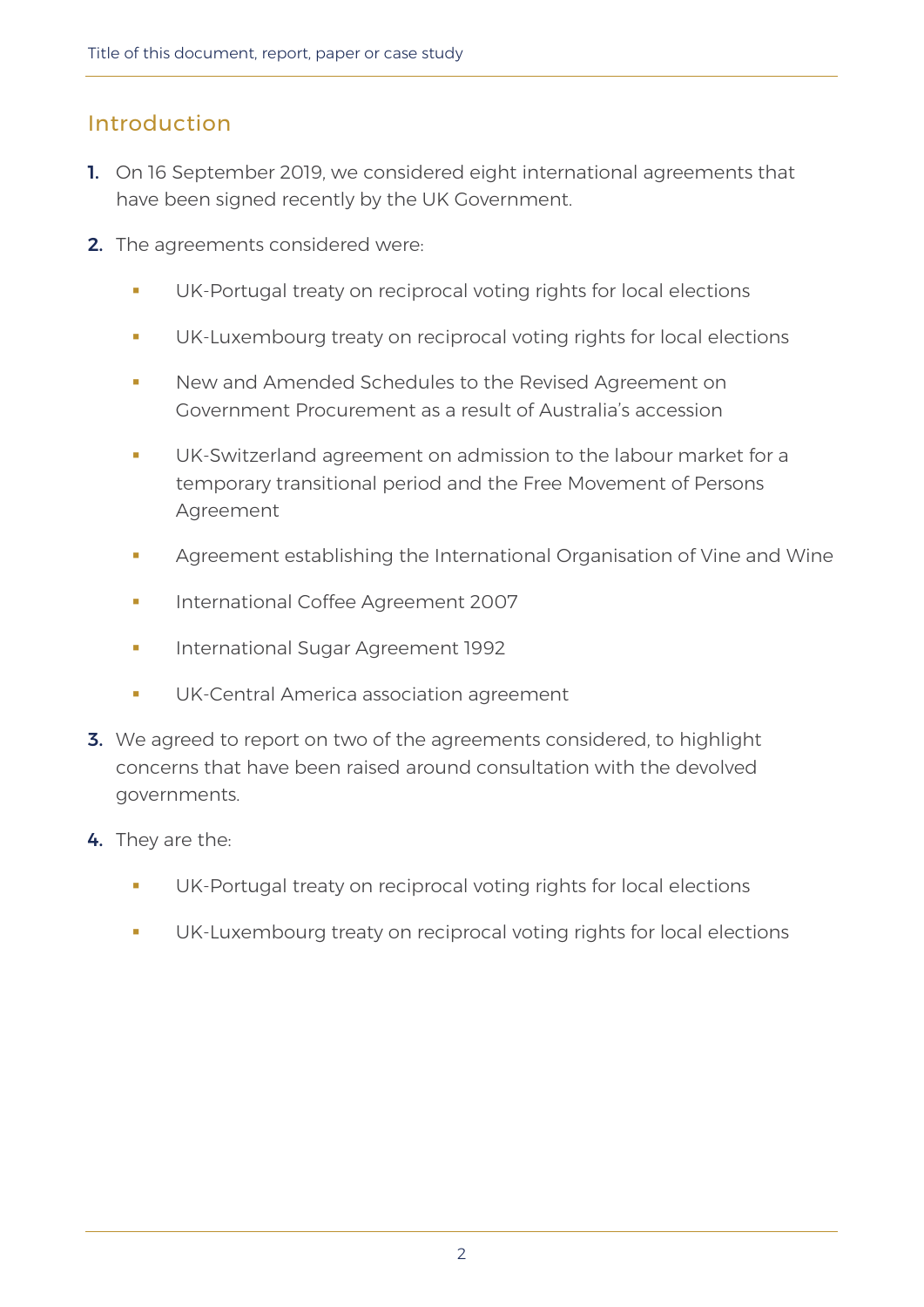### Introduction

- 1. On 16 September 2019, we considered eight international agreements that have been signed recently by the UK Government.
- 2. The agreements considered were:
	- UK-Portugal treaty on reciprocal voting rights for local elections
	- UK-Luxembourg treaty on reciprocal voting rights for local elections
	- **New and Amended Schedules to the Revised Agreement on** Government Procurement as a result of Australia's accession
	- **■** UK-Switzerland agreement on admission to the labour market for a temporary transitional period and the Free Movement of Persons Agreement
	- **EXEDENT Agreement establishing the International Organisation of Vine and Wine**
	- International Coffee Agreement 2007
	- **·** International Sugar Agreement 1992
	- UK-Central America association agreement
- **3.** We agreed to report on two of the agreements considered, to highlight concerns that have been raised around consultation with the devolved governments.
- 4. They are the:
	- UK-Portugal treaty on reciprocal voting rights for local elections
	- UK-Luxembourg treaty on reciprocal voting rights for local elections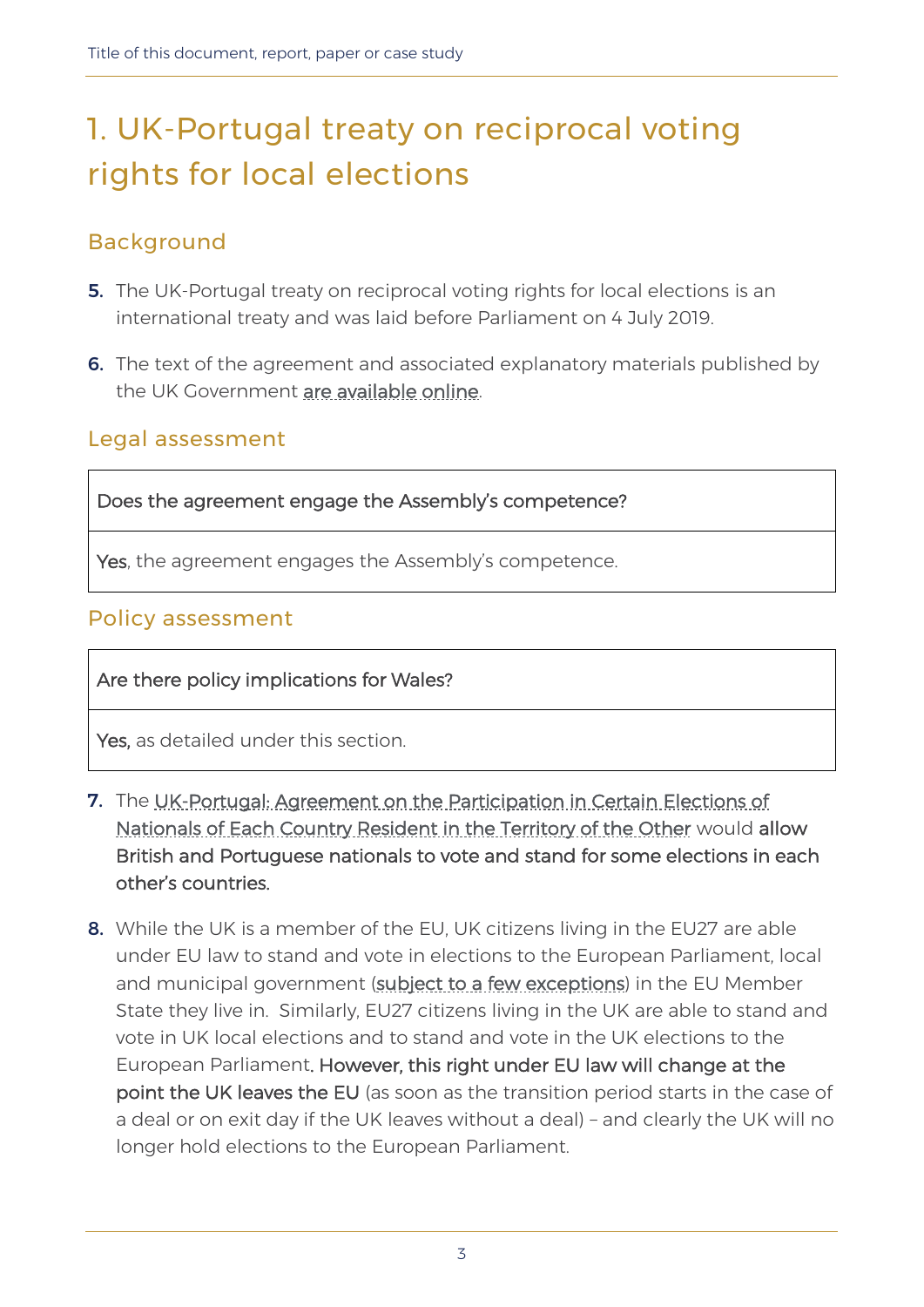### 1. UK-Portugal treaty on reciprocal voting rights for local elections

### Background

- **5.** The UK-Portugal treaty on reciprocal voting rights for local elections is an international treaty and was laid before Parliament on 4 July 2019.
- 6. The text of the agreement and associated explanatory materials published by the UK Government [are available online.](https://www.gov.uk/government/publications/cs-portugal-no12019-ukportugal-agreement-regarding-the-participation-in-local-elections-of-nationals-of-each-state-resident-in-the-others-terri)

### Legal assessment

Does the agreement engage the Assembly's competence?

Yes, the agreement engages the Assembly's competence.

### Policy assessment

Are there policy implications for Wales?

Yes, as detailed under this section.

- 7. The UK-Portugal: Agreement on the Participation in Certain Elections of [Nationals of Each Country Resident in the Territory of the Other](https://www.gov.uk/government/publications/cs-portugal-no12019-ukportugal-agreement-regarding-the-participation-in-local-elections-of-nationals-of-each-state-resident-in-the-others-terri) would allow British and Portuguese nationals to vote and stand for some elections in each other's countries.
- 8. While the UK is a member of the EU, UK citizens living in the EU27 are able under EU law to stand and vote in elections to the European Parliament, local and municipal government [\(subject to a few exceptions\)](https://ec.europa.eu/info/policies/justice-and-fundamental-rights/eu-citizenship/electoral-rights_en) in the EU Member State they live in. Similarly, EU27 citizens living in the UK are able to stand and vote in UK local elections and to stand and vote in the UK elections to the European Parliament. However, this right under EU law will change at the point the UK leaves the EU (as soon as the transition period starts in the case of a deal or on exit day if the UK leaves without a deal) – and clearly the UK will no longer hold elections to the European Parliament.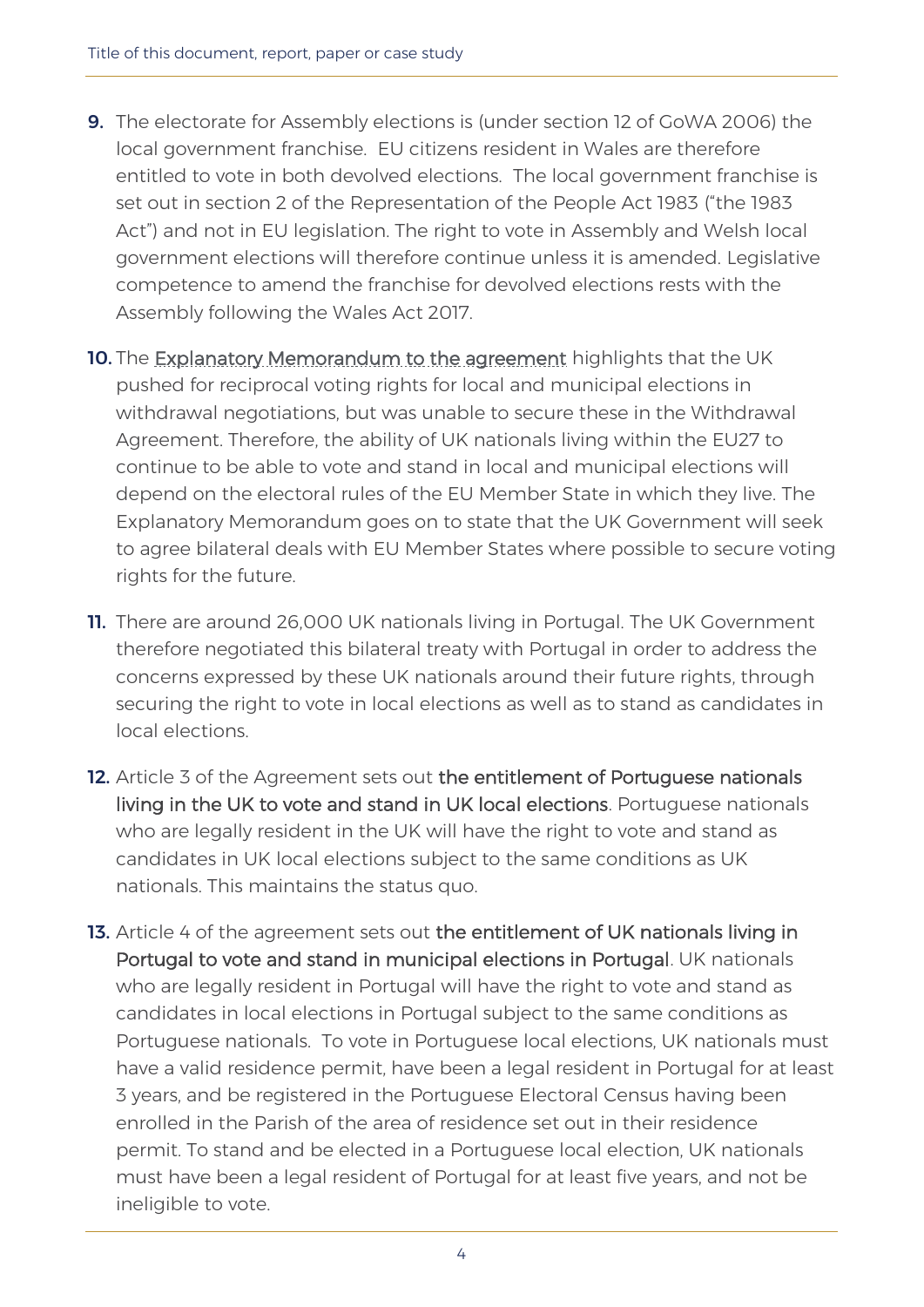- 9. The electorate for Assembly elections is (under section 12 of GoWA 2006) the local government franchise. EU citizens resident in Wales are therefore entitled to vote in both devolved elections. The local government franchise is set out in section 2 of the Representation of the People Act 1983 ("the 1983 Act") and not in EU legislation. The right to vote in Assembly and Welsh local government elections will therefore continue unless it is amended. Legislative competence to amend the franchise for devolved elections rests with the Assembly following the Wales Act 2017.
- 10. The [Explanatory Memorandum to the agreement](https://assets.publishing.service.gov.uk/government/uploads/system/uploads/attachment_data/file/814397/EM_CS_Portugal_1.2019_Voting_Rights.odt) highlights that the UK pushed for reciprocal voting rights for local and municipal elections in withdrawal negotiations, but was unable to secure these in the Withdrawal Agreement. Therefore, the ability of UK nationals living within the EU27 to continue to be able to vote and stand in local and municipal elections will depend on the electoral rules of the EU Member State in which they live. The Explanatory Memorandum goes on to state that the UK Government will seek to agree bilateral deals with EU Member States where possible to secure voting rights for the future.
- 11. There are around 26,000 UK nationals living in Portugal. The UK Government therefore negotiated this bilateral treaty with Portugal in order to address the concerns expressed by these UK nationals around their future rights, through securing the right to vote in local elections as well as to stand as candidates in local elections.
- 12. Article 3 of the Agreement sets out the entitlement of Portuguese nationals living in the UK to vote and stand in UK local elections. Portuguese nationals who are legally resident in the UK will have the right to vote and stand as candidates in UK local elections subject to the same conditions as UK nationals. This maintains the status quo.
- 13. Article 4 of the agreement sets out the entitlement of UK nationals living in Portugal to vote and stand in municipal elections in Portugal. UK nationals who are legally resident in Portugal will have the right to vote and stand as candidates in local elections in Portugal subject to the same conditions as Portuguese nationals. To vote in Portuguese local elections, UK nationals must have a valid residence permit, have been a legal resident in Portugal for at least 3 years, and be registered in the Portuguese Electoral Census having been enrolled in the Parish of the area of residence set out in their residence permit. To stand and be elected in a Portuguese local election, UK nationals must have been a legal resident of Portugal for at least five years, and not be ineligible to vote.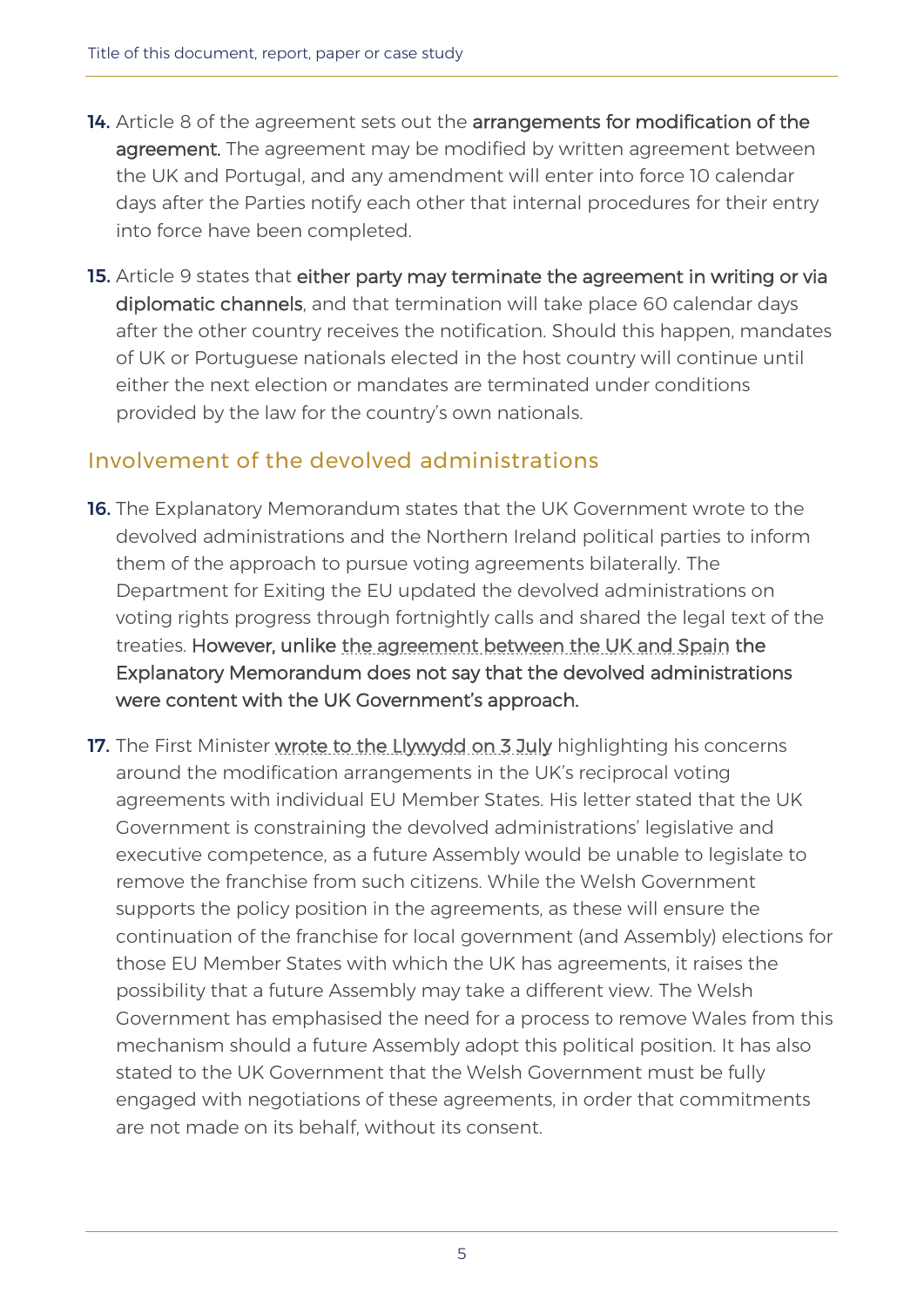- 14. Article 8 of the agreement sets out the arrangements for modification of the agreement. The agreement may be modified by written agreement between the UK and Portugal, and any amendment will enter into force 10 calendar days after the Parties notify each other that internal procedures for their entry into force have been completed.
- 15. Article 9 states that either party may terminate the agreement in writing or via diplomatic channels, and that termination will take place 60 calendar days after the other country receives the notification. Should this happen, mandates of UK or Portuguese nationals elected in the host country will continue until either the next election or mandates are terminated under conditions provided by the law for the country's own nationals.

### Involvement of the devolved administrations

- 16. The Explanatory Memorandum states that the UK Government wrote to the devolved administrations and the Northern Ireland political parties to inform them of the approach to pursue voting agreements bilaterally. The Department for Exiting the EU updated the devolved administrations on voting rights progress through fortnightly calls and shared the legal text of the treaties. However, unlike [the agreement between the UK and Spain](https://assets.publishing.service.gov.uk/government/uploads/system/uploads/attachment_data/file/786389/EM_CS_Spain_2.2019_Elecs.odt) the Explanatory Memorandum does not say that the devolved administrations were content with the UK Government's approach.
- 17. The First Minister [wrote to the Llywydd on 3 July](http://senedd.assembly.wales/documents/s90898/Correspondence%20from%20the%20First%20Minister%20to%20the%20Llywydd%20regarding%20international%20relations%20which%20bind%20t.pdf) highlighting his concerns around the modification arrangements in the UK's reciprocal voting agreements with individual EU Member States. His letter stated that the UK Government is constraining the devolved administrations' legislative and executive competence, as a future Assembly would be unable to legislate to remove the franchise from such citizens. While the Welsh Government supports the policy position in the agreements, as these will ensure the continuation of the franchise for local government (and Assembly) elections for those EU Member States with which the UK has agreements, it raises the possibility that a future Assembly may take a different view. The Welsh Government has emphasised the need for a process to remove Wales from this mechanism should a future Assembly adopt this political position. It has also stated to the UK Government that the Welsh Government must be fully engaged with negotiations of these agreements, in order that commitments are not made on its behalf, without its consent.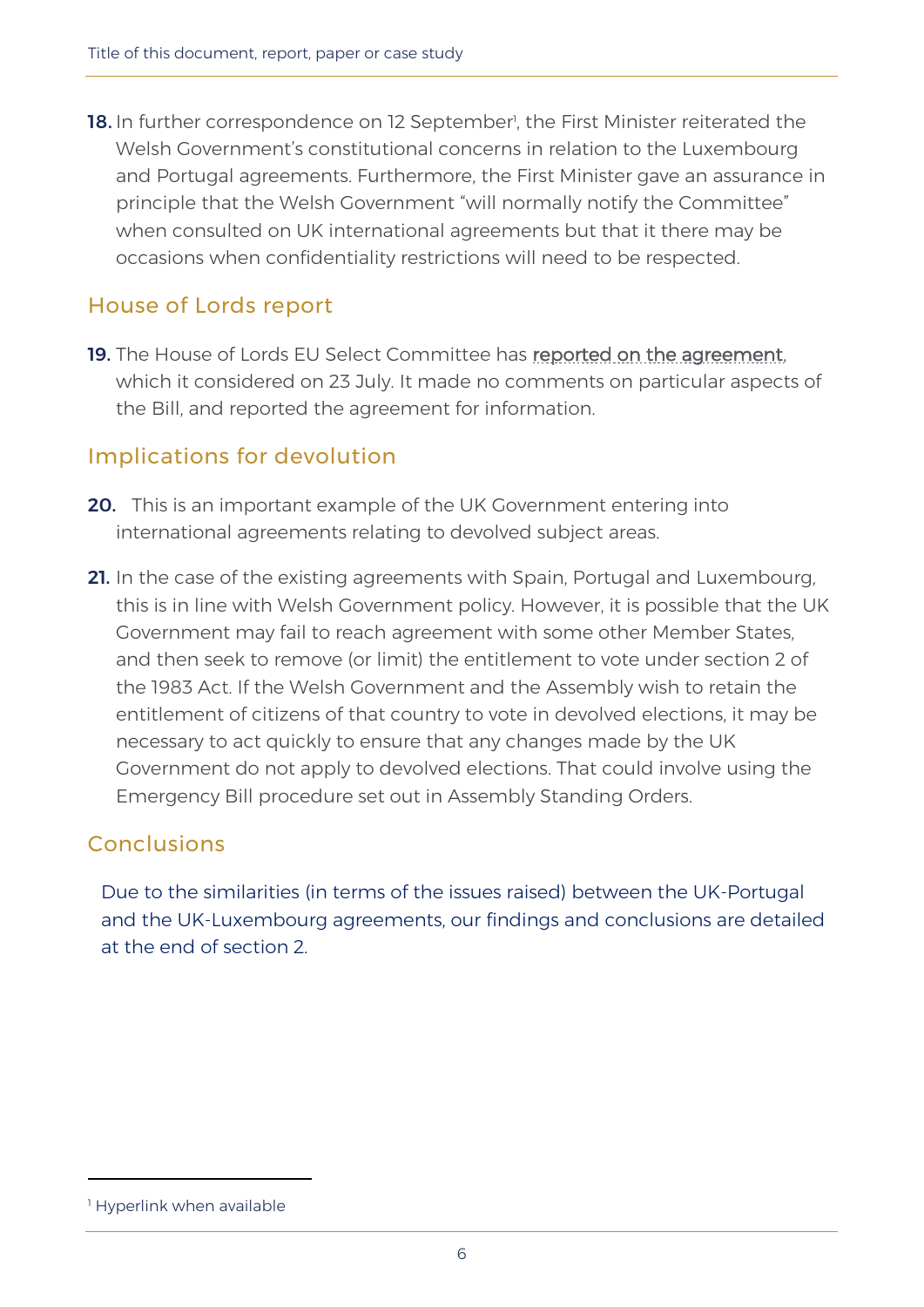**18.** In further correspondence on 12 September<sup>1</sup>, the First Minister reiterated the Welsh Government's constitutional concerns in relation to the Luxembourg and Portugal agreements. Furthermore, the First Minister gave an assurance in principle that the Welsh Government "will normally notify the Committee" when consulted on UK international agreements but that it there may be occasions when confidentiality restrictions will need to be respected.

### House of Lords report

19. The House of Lords EU Select Committee has reported on the agreement, which it considered on 23 July. It made no comments on particular aspects of the Bill, and reported the agreement for information.

### Implications for devolution

- 20. This is an important example of the UK Government entering into international agreements relating to devolved subject areas.
- 21. In the case of the existing agreements with Spain, Portugal and Luxembourg, this is in line with Welsh Government policy. However, it is possible that the UK Government may fail to reach agreement with some other Member States, and then seek to remove (or limit) the entitlement to vote under section 2 of the 1983 Act. If the Welsh Government and the Assembly wish to retain the entitlement of citizens of that country to vote in devolved elections, it may be necessary to act quickly to ensure that any changes made by the UK Government do not apply to devolved elections. That could involve using the Emergency Bill procedure set out in Assembly Standing Orders.

### Conclusions

Due to the similarities (in terms of the issues raised) between the UK-Portugal and the UK-Luxembourg agreements, our findings and conclusions are detailed at the end of section 2.

<sup>&</sup>lt;sup>1</sup> Hyperlink when available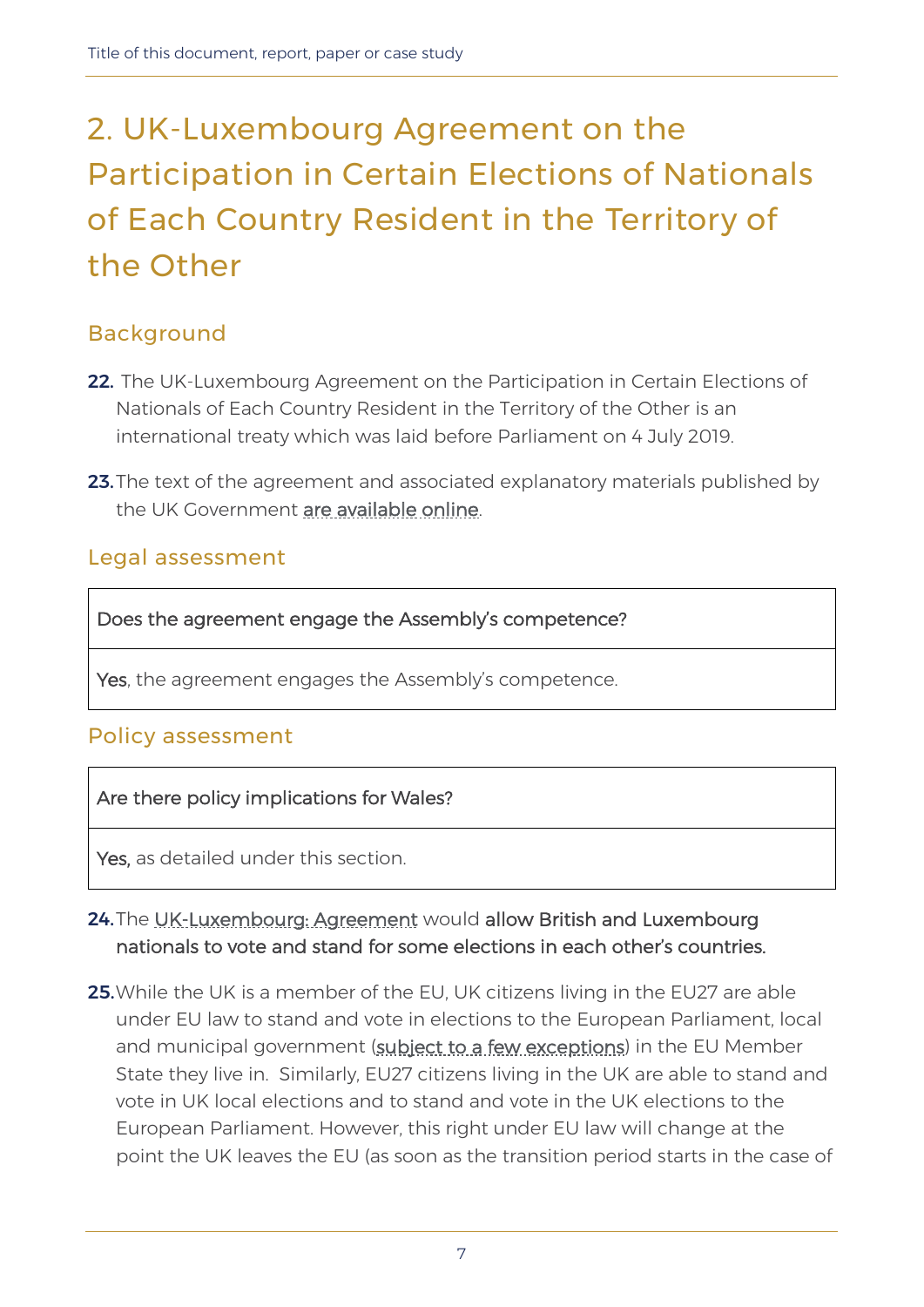## 2. UK-Luxembourg Agreement on the Participation in Certain Elections of Nationals of Each Country Resident in the Territory of the Other

### Background

- 22. The UK-Luxembourg Agreement on the Participation in Certain Elections of Nationals of Each Country Resident in the Territory of the Other is an international treaty which was laid before Parliament on 4 July 2019.
- 23. The text of the agreement and associated explanatory materials published by the UK Government [are available online.](https://www.gov.uk/government/publications/cs-luxembourg-no12019-ukluxembourg-agreement-on-the-participation-in-certain-elections-of-nationals-of-each-country-resident-in-the-territory-o)

### Legal assessment

Does the agreement engage the Assembly's competence?

Yes, the agreement engages the Assembly's competence.

### Policy assessment

#### Are there policy implications for Wales?

Yes, as detailed under this section.

#### 24. The [UK-Luxembourg: Agreement](https://www.gov.uk/government/publications/cs-luxembourg-no12019-ukluxembourg-agreement-on-the-participation-in-certain-elections-of-nationals-of-each-country-resident-in-the-territory-o) would allow British and Luxembourg nationals to vote and stand for some elections in each other's countries.

25.While the UK is a member of the EU, UK citizens living in the EU27 are able under EU law to stand and vote in elections to the European Parliament, local and municipal government [\(subject to a few exceptions\)](https://ec.europa.eu/info/policies/justice-and-fundamental-rights/eu-citizenship/electoral-rights_en) in the EU Member State they live in. Similarly, EU27 citizens living in the UK are able to stand and vote in UK local elections and to stand and vote in the UK elections to the European Parliament. However, this right under EU law will change at the point the UK leaves the EU (as soon as the transition period starts in the case of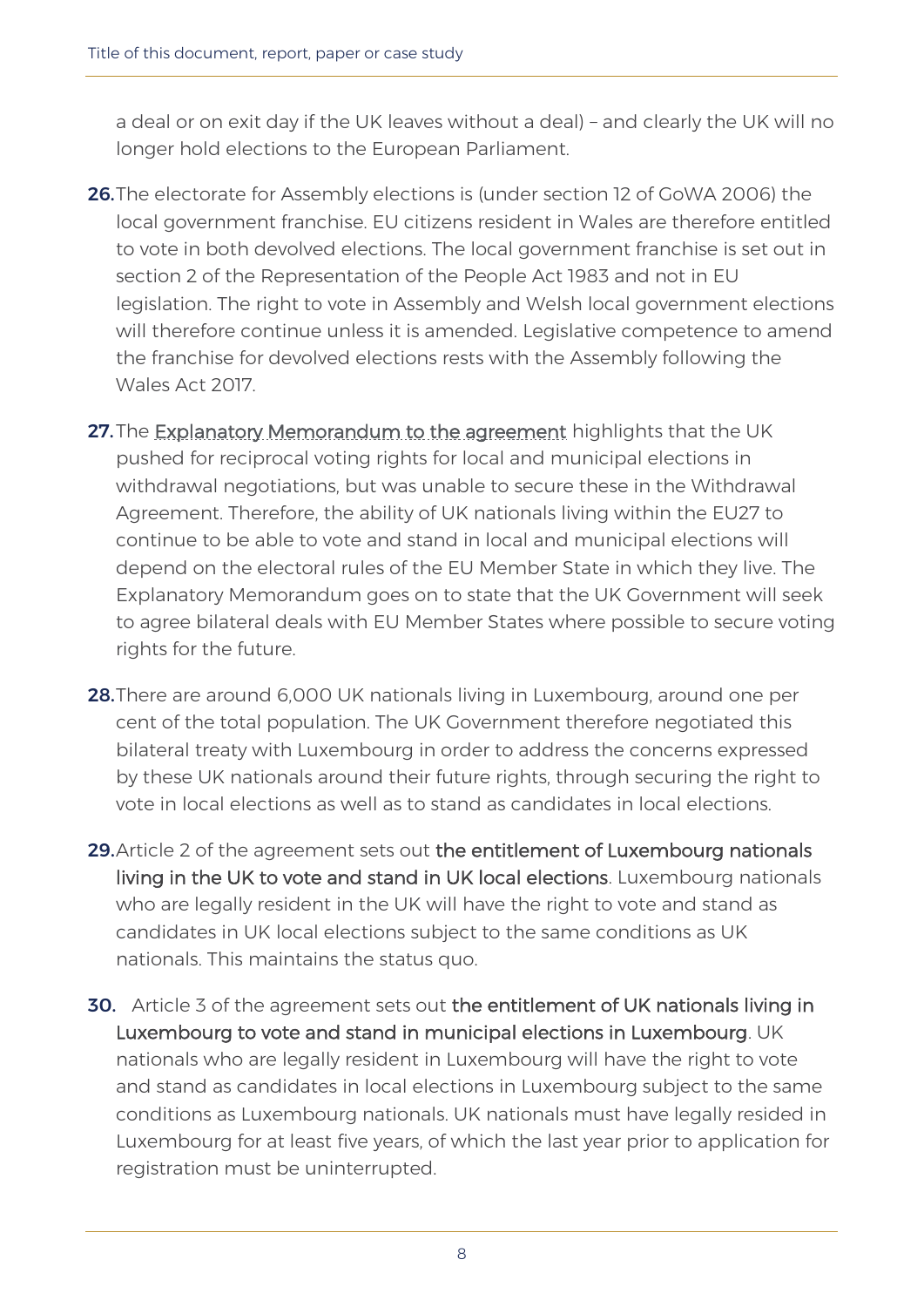a deal or on exit day if the UK leaves without a deal) – and clearly the UK will no longer hold elections to the European Parliament.

- 26.The electorate for Assembly elections is (under section 12 of GoWA 2006) the local government franchise. EU citizens resident in Wales are therefore entitled to vote in both devolved elections. The local government franchise is set out in section 2 of the Representation of the People Act 1983 and not in EU legislation. The right to vote in Assembly and Welsh local government elections will therefore continue unless it is amended. Legislative competence to amend the franchise for devolved elections rests with the Assembly following the Wales Act 2017.
- 27. The [Explanatory Memorandum to the agreement](https://assets.publishing.service.gov.uk/government/uploads/system/uploads/attachment_data/file/814393/EM_CS_Luxembourg_1.2019_Voting_Rights_Agreement.odt) highlights that the UK pushed for reciprocal voting rights for local and municipal elections in withdrawal negotiations, but was unable to secure these in the Withdrawal Agreement. Therefore, the ability of UK nationals living within the EU27 to continue to be able to vote and stand in local and municipal elections will depend on the electoral rules of the EU Member State in which they live. The Explanatory Memorandum goes on to state that the UK Government will seek to agree bilateral deals with EU Member States where possible to secure voting rights for the future.
- 28.There are around 6,000 UK nationals living in Luxembourg, around one per cent of the total population. The UK Government therefore negotiated this bilateral treaty with Luxembourg in order to address the concerns expressed by these UK nationals around their future rights, through securing the right to vote in local elections as well as to stand as candidates in local elections.
- 29. Article 2 of the agreement sets out the entitlement of Luxembourg nationals living in the UK to vote and stand in UK local elections. Luxembourg nationals who are legally resident in the UK will have the right to vote and stand as candidates in UK local elections subject to the same conditions as UK nationals. This maintains the status quo.
- 30. Article 3 of the agreement sets out the entitlement of UK nationals living in Luxembourg to vote and stand in municipal elections in Luxembourg. UK nationals who are legally resident in Luxembourg will have the right to vote and stand as candidates in local elections in Luxembourg subject to the same conditions as Luxembourg nationals. UK nationals must have legally resided in Luxembourg for at least five years, of which the last year prior to application for registration must be uninterrupted.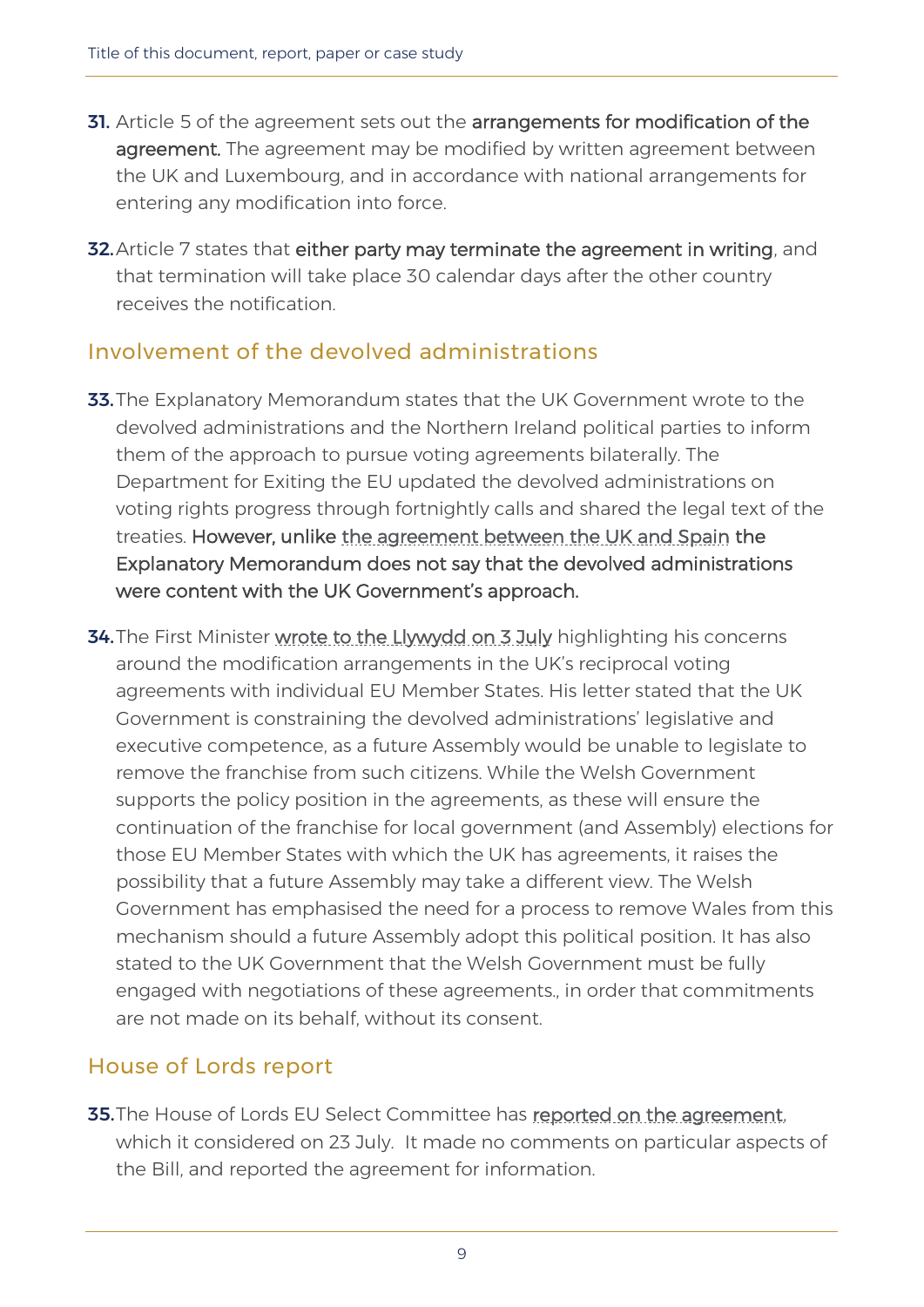- **31.** Article 5 of the agreement sets out the arrangements for modification of the agreement. The agreement may be modified by written agreement between the UK and Luxembourg, and in accordance with national arrangements for entering any modification into force.
- 32. Article 7 states that either party may terminate the agreement in writing, and that termination will take place 30 calendar days after the other country receives the notification.

### Involvement of the devolved administrations

- 33. The Explanatory Memorandum states that the UK Government wrote to the devolved administrations and the Northern Ireland political parties to inform them of the approach to pursue voting agreements bilaterally. The Department for Exiting the EU updated the devolved administrations on voting rights progress through fortnightly calls and shared the legal text of the treaties. However, unlike [the agreement between the UK and Spain](https://assets.publishing.service.gov.uk/government/uploads/system/uploads/attachment_data/file/786389/EM_CS_Spain_2.2019_Elecs.odt) the Explanatory Memorandum does not say that the devolved administrations were content with the UK Government's approach.
- 34. The First Minister [wrote to the Llywydd on 3 July](http://senedd.assembly.wales/documents/s90898/Correspondence%20from%20the%20First%20Minister%20to%20the%20Llywydd%20regarding%20international%20relations%20which%20bind%20t.pdf) highlighting his concerns around the modification arrangements in the UK's reciprocal voting agreements with individual EU Member States. His letter stated that the UK Government is constraining the devolved administrations' legislative and executive competence, as a future Assembly would be unable to legislate to remove the franchise from such citizens. While the Welsh Government supports the policy position in the agreements, as these will ensure the continuation of the franchise for local government (and Assembly) elections for those EU Member States with which the UK has agreements, it raises the possibility that a future Assembly may take a different view. The Welsh Government has emphasised the need for a process to remove Wales from this mechanism should a future Assembly adopt this political position. It has also stated to the UK Government that the Welsh Government must be fully engaged with negotiations of these agreements., in order that commitments are not made on its behalf, without its consent.

### House of Lords report

**35.**The House of Lords EU Select Committee has reported on the agreement, which it considered on 23 July. It made no comments on particular aspects of the Bill, and reported the agreement for information.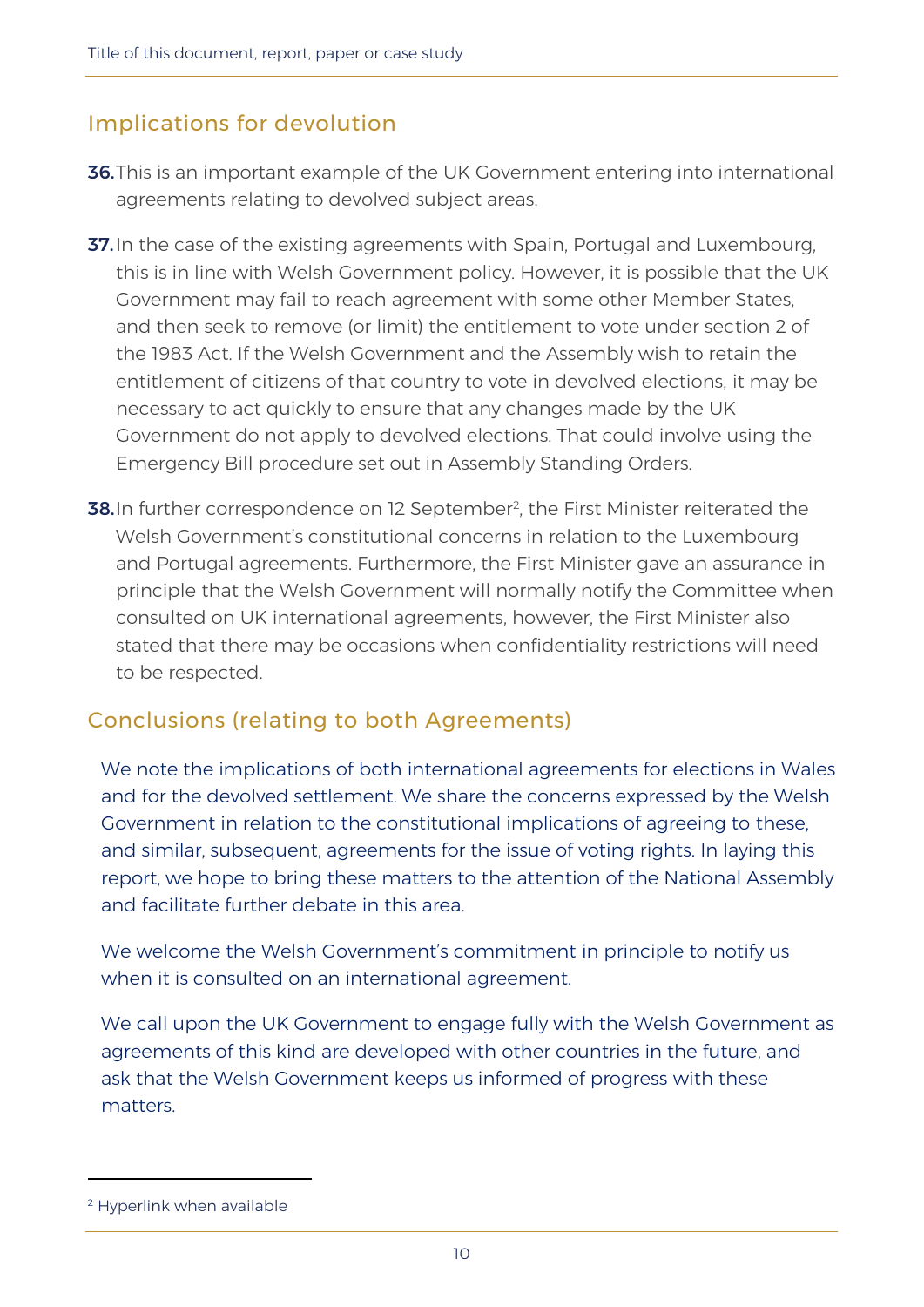### Implications for devolution

- **36.**This is an important example of the UK Government entering into international agreements relating to devolved subject areas.
- **37.** In the case of the existing agreements with Spain, Portugal and Luxembourg, this is in line with Welsh Government policy. However, it is possible that the UK Government may fail to reach agreement with some other Member States, and then seek to remove (or limit) the entitlement to vote under section 2 of the 1983 Act. If the Welsh Government and the Assembly wish to retain the entitlement of citizens of that country to vote in devolved elections, it may be necessary to act quickly to ensure that any changes made by the UK Government do not apply to devolved elections. That could involve using the Emergency Bill procedure set out in Assembly Standing Orders.
- **38.** In further correspondence on 12 September<sup>2</sup>, the First Minister reiterated the Welsh Government's constitutional concerns in relation to the Luxembourg and Portugal agreements. Furthermore, the First Minister gave an assurance in principle that the Welsh Government will normally notify the Committee when consulted on UK international agreements, however, the First Minister also stated that there may be occasions when confidentiality restrictions will need to be respected.

### Conclusions (relating to both Agreements)

We note the implications of both international agreements for elections in Wales and for the devolved settlement. We share the concerns expressed by the Welsh Government in relation to the constitutional implications of agreeing to these, and similar, subsequent, agreements for the issue of voting rights. In laying this report, we hope to bring these matters to the attention of the National Assembly and facilitate further debate in this area.

We welcome the Welsh Government's commitment in principle to notify us when it is consulted on an international agreement.

We call upon the UK Government to engage fully with the Welsh Government as agreements of this kind are developed with other countries in the future, and ask that the Welsh Government keeps us informed of progress with these matters.

<sup>2</sup> Hyperlink when available